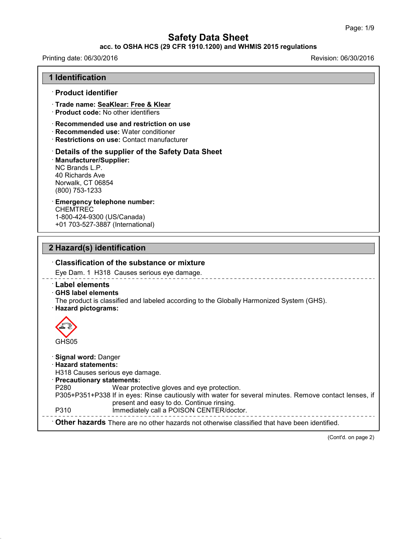### **acc. to OSHA HCS (29 CFR 1910.1200) and WHMIS 2015 regulations**

## Printing date: 06/30/2016 **Revision: 06/30/2016** Revision: 06/30/2016

43.0

| <b>1 Identification</b>                                                                                                                                                                                                                                                                                                                                                                    |
|--------------------------------------------------------------------------------------------------------------------------------------------------------------------------------------------------------------------------------------------------------------------------------------------------------------------------------------------------------------------------------------------|
| · Product identifier                                                                                                                                                                                                                                                                                                                                                                       |
| Trade name: SeaKlear: Free & Klear<br>· Product code: No other identifiers                                                                                                                                                                                                                                                                                                                 |
| · Recommended use and restriction on use<br>Recommended use: Water conditioner<br>· Restrictions on use: Contact manufacturer                                                                                                                                                                                                                                                              |
| Details of the supplier of the Safety Data Sheet<br>Manufacturer/Supplier:<br>NC Brands L.P.<br>40 Richards Ave<br>Norwalk, CT 06854<br>(800) 753-1233                                                                                                                                                                                                                                     |
| <b>Emergency telephone number:</b><br><b>CHEMTREC</b><br>1-800-424-9300 (US/Canada)<br>+01 703-527-3887 (International)                                                                                                                                                                                                                                                                    |
| 2 Hazard(s) identification                                                                                                                                                                                                                                                                                                                                                                 |
| $\cdot$ Classification of the substance or mixture                                                                                                                                                                                                                                                                                                                                         |
| Eye Dam. 1 H318 Causes serious eye damage.                                                                                                                                                                                                                                                                                                                                                 |
| <b>Label elements</b><br><b>GHS label elements</b><br>The product is classified and labeled according to the Globally Harmonized System (GHS).<br>· Hazard pictograms:                                                                                                                                                                                                                     |
| GHS05                                                                                                                                                                                                                                                                                                                                                                                      |
| · Signal word: Danger<br>$\cdot$ Hazard statements:<br>H318 Causes serious eye damage.<br><b>Precautionary statements:</b><br>P280<br>Wear protective gloves and eye protection.<br>P305+P351+P338 If in eyes: Rinse cautiously with water for several minutes. Remove contact lenses, if<br>present and easy to do. Continue rinsing.<br>P310<br>Immediately call a POISON CENTER/doctor. |
| Other hazards There are no other hazards not otherwise classified that have been identified.                                                                                                                                                                                                                                                                                               |

(Cont'd. on page 2)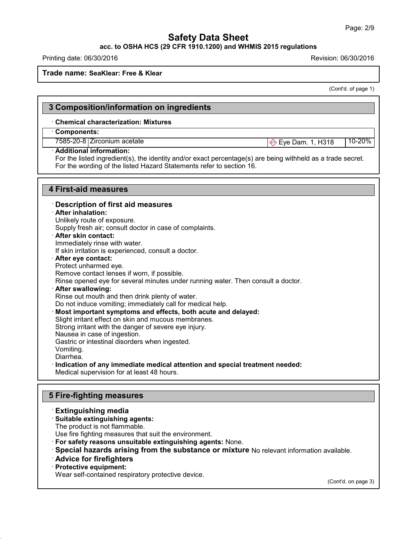## **acc. to OSHA HCS (29 CFR 1910.1200) and WHMIS 2015 regulations**

Printing date: 06/30/2016 Revision: 06/30/2016

#### **Trade name: SeaKlear: Free & Klear**

(Cont'd. of page 1)

## **3 Composition/information on ingredients** · **Chemical characterization: Mixtures** · **Components:** 7585-20-8 Zirconium acetate **Exercise Exercise 20.6 2111-2004** Eye Dam. 1, H318 10-20% · **Additional information:** For the listed ingredient(s), the identity and/or exact percentage(s) are being withheld as a trade secret. For the wording of the listed Hazard Statements refer to section 16.

## **4 First-aid measures**

· **Description of first aid measures** · **After inhalation:** Unlikely route of exposure. Supply fresh air; consult doctor in case of complaints. · **After skin contact:** Immediately rinse with water. If skin irritation is experienced, consult a doctor. · **After eye contact:** Protect unharmed eye. Remove contact lenses if worn, if possible. Rinse opened eye for several minutes under running water. Then consult a doctor. · **After swallowing:** Rinse out mouth and then drink plenty of water. Do not induce vomiting; immediately call for medical help. · **Most important symptoms and effects, both acute and delayed:** Slight irritant effect on skin and mucous membranes. Strong irritant with the danger of severe eye injury. Nausea in case of ingestion. Gastric or intestinal disorders when ingested. Vomiting. Diarrhea. · **Indication of any immediate medical attention and special treatment needed:** Medical supervision for at least 48 hours.

## **5 Fire-fighting measures**

### · **Extinguishing media**

### · **Suitable extinguishing agents:**

The product is not flammable.

Use fire fighting measures that suit the environment.

- · **For safety reasons unsuitable extinguishing agents:** None.
- · **Special hazards arising from the substance or mixture** No relevant information available.
- · **Advice for firefighters**
- · **Protective equipment:**

43.0

Wear self-contained respiratory protective device.

(Cont'd. on page 3)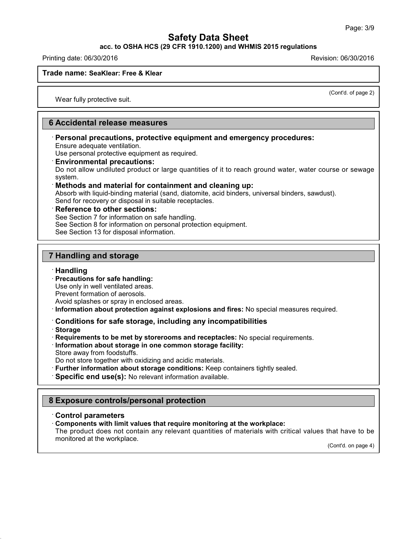**acc. to OSHA HCS (29 CFR 1910.1200) and WHMIS 2015 regulations**

Printing date: 06/30/2016 Revision: 06/30/2016

### **Trade name: SeaKlear: Free & Klear**

(Cont'd. of page 2)

Wear fully protective suit.

## **6 Accidental release measures**

· **Personal precautions, protective equipment and emergency procedures:** Ensure adequate ventilation.

Use personal protective equipment as required.

· **Environmental precautions:**

Do not allow undiluted product or large quantities of it to reach ground water, water course or sewage system.

### · **Methods and material for containment and cleaning up:**

Absorb with liquid-binding material (sand, diatomite, acid binders, universal binders, sawdust). Send for recovery or disposal in suitable receptacles.

### · **Reference to other sections:**

See Section 7 for information on safe handling.

See Section 8 for information on personal protection equipment.

See Section 13 for disposal information.

## **7 Handling and storage**

### · **Handling**

· **Precautions for safe handling:**

Use only in well ventilated areas.

Prevent formation of aerosols.

Avoid splashes or spray in enclosed areas.

· **Information about protection against explosions and fires:** No special measures required.

## · **Conditions for safe storage, including any incompatibilities**

· **Storage**

43.0

· **Requirements to be met by storerooms and receptacles:** No special requirements.

· **Information about storage in one common storage facility:**

Store away from foodstuffs.

Do not store together with oxidizing and acidic materials.

· **Further information about storage conditions:** Keep containers tightly sealed.

· **Specific end use(s):** No relevant information available.

## **8 Exposure controls/personal protection**

### · **Control parameters**

· **Components with limit values that require monitoring at the workplace:**

The product does not contain any relevant quantities of materials with critical values that have to be monitored at the workplace.

(Cont'd. on page 4)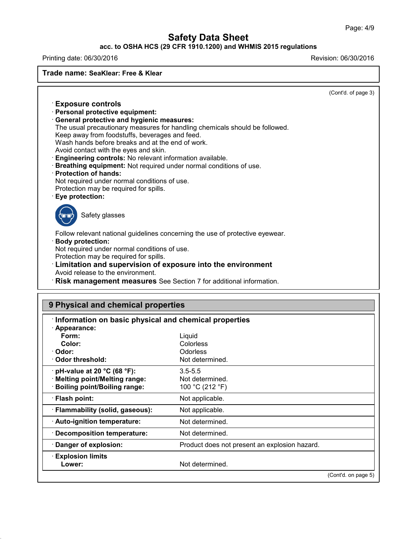### **acc. to OSHA HCS (29 CFR 1910.1200) and WHMIS 2015 regulations**

Printing date: 06/30/2016 **Revision: 06/30/2016** Revision: 06/30/2016

43.0

**Trade name: SeaKlear: Free & Klear**

(Cont'd. of page 3)

| <b>Exposure controls</b>                                                                                                             |                                                                               |  |
|--------------------------------------------------------------------------------------------------------------------------------------|-------------------------------------------------------------------------------|--|
| Personal protective equipment:                                                                                                       |                                                                               |  |
| <b>General protective and hygienic measures:</b>                                                                                     | The usual precautionary measures for handling chemicals should be followed.   |  |
| Keep away from foodstuffs, beverages and feed.                                                                                       |                                                                               |  |
| Wash hands before breaks and at the end of work.                                                                                     |                                                                               |  |
| Avoid contact with the eyes and skin.                                                                                                |                                                                               |  |
| <b>Engineering controls:</b> No relevant information available.<br>Breathing equipment: Not required under normal conditions of use. |                                                                               |  |
| · Protection of hands:                                                                                                               |                                                                               |  |
| Not required under normal conditions of use.                                                                                         |                                                                               |  |
| Protection may be required for spills.                                                                                               |                                                                               |  |
| · Eye protection:                                                                                                                    |                                                                               |  |
| Safety glasses                                                                                                                       |                                                                               |  |
|                                                                                                                                      | Follow relevant national guidelines concerning the use of protective eyewear. |  |
| <b>Body protection:</b><br>Not required under normal conditions of use.                                                              |                                                                               |  |
| Protection may be required for spills.                                                                                               |                                                                               |  |
|                                                                                                                                      |                                                                               |  |
| Limitation and supervision of exposure into the environment                                                                          |                                                                               |  |
| Avoid release to the environment.                                                                                                    |                                                                               |  |
| <b>Risk management measures</b> See Section 7 for additional information.                                                            |                                                                               |  |
|                                                                                                                                      |                                                                               |  |
| 9 Physical and chemical properties                                                                                                   |                                                                               |  |
| Information on basic physical and chemical properties                                                                                |                                                                               |  |
| · Appearance:                                                                                                                        |                                                                               |  |
| Form:                                                                                                                                | Liquid                                                                        |  |
| Color:<br>· Odor:                                                                                                                    | Colorless<br>Odorless                                                         |  |
| Odor threshold:                                                                                                                      | Not determined.                                                               |  |
| $\cdot$ pH-value at 20 °C (68 °F):                                                                                                   | $3.5 - 5.5$                                                                   |  |
| · Melting point/Melting range:                                                                                                       | Not determined.                                                               |  |
| <b>Boiling point/Boiling range:</b>                                                                                                  | 100 °C (212 °F)                                                               |  |
| · Flash point:                                                                                                                       | Not applicable.                                                               |  |
| · Flammability (solid, gaseous):                                                                                                     | Not applicable.                                                               |  |
| · Auto-ignition temperature:                                                                                                         | Not determined.                                                               |  |
| · Decomposition temperature:                                                                                                         | Not determined.                                                               |  |
| Danger of explosion:                                                                                                                 | Product does not present an explosion hazard.                                 |  |
| <b>Explosion limits</b><br>Lower:                                                                                                    | Not determined.                                                               |  |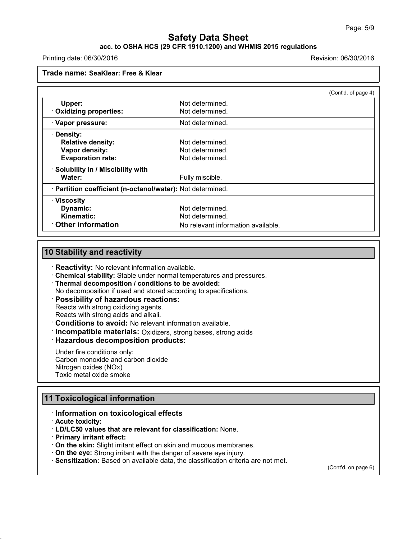## **acc. to OSHA HCS (29 CFR 1910.1200) and WHMIS 2015 regulations**

Printing date: 06/30/2016 Revision: 06/30/2016

**Trade name: SeaKlear: Free & Klear**

|                                                            |                                    | (Cont'd. of page 4) |
|------------------------------------------------------------|------------------------------------|---------------------|
| Upper:                                                     | Not determined.                    |                     |
| · Oxidizing properties:                                    | Not determined.                    |                     |
| · Vapor pressure:                                          | Not determined.                    |                     |
| · Density:                                                 |                                    |                     |
| <b>Relative density:</b>                                   | Not determined.                    |                     |
| Vapor density:                                             | Not determined.                    |                     |
| <b>Evaporation rate:</b>                                   | Not determined.                    |                     |
| · Solubility in / Miscibility with                         |                                    |                     |
| Water:                                                     | Fully miscible.                    |                     |
| · Partition coefficient (n-octanol/water): Not determined. |                                    |                     |
| · Viscosity                                                |                                    |                     |
| Dynamic:                                                   | Not determined.                    |                     |
| Kinematic:                                                 | Not determined.                    |                     |
| Other information                                          | No relevant information available. |                     |

## **10 Stability and reactivity**

· **Reactivity:** No relevant information available.

- · **Chemical stability:** Stable under normal temperatures and pressures.
- · **Thermal decomposition / conditions to be avoided:**
- No decomposition if used and stored according to specifications.

## · **Possibility of hazardous reactions:**

Reacts with strong oxidizing agents. Reacts with strong acids and alkali.

· **Conditions to avoid:** No relevant information available.

· **Incompatible materials:** Oxidizers, strong bases, strong acids

## · **Hazardous decomposition products:**

Under fire conditions only: Carbon monoxide and carbon dioxide Nitrogen oxides (NOx) Toxic metal oxide smoke

## **11 Toxicological information**

### · **Information on toxicological effects**

· **Acute toxicity:**

43.0

- · **LD/LC50 values that are relevant for classification:** None.
- · **Primary irritant effect:**
- · **On the skin:** Slight irritant effect on skin and mucous membranes.
- · **On the eye:** Strong irritant with the danger of severe eye injury.
- · **Sensitization:** Based on available data, the classification criteria are not met.

(Cont'd. on page 6)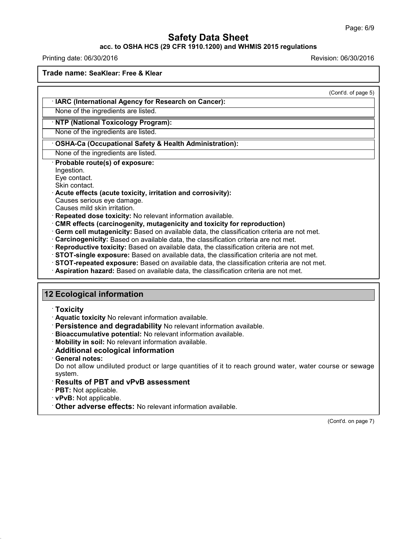### **acc. to OSHA HCS (29 CFR 1910.1200) and WHMIS 2015 regulations**

Printing date: 06/30/2016 **Revision: 06/30/2016** 

**Trade name: SeaKlear: Free & Klear**

|                                                                                             | (Cont'd. of page 5) |
|---------------------------------------------------------------------------------------------|---------------------|
| · IARC (International Agency for Research on Cancer):                                       |                     |
| None of the ingredients are listed.                                                         |                     |
| · NTP (National Toxicology Program):                                                        |                     |
| None of the ingredients are listed.                                                         |                     |
| <b>OSHA-Ca (Occupational Safety &amp; Health Administration):</b>                           |                     |
| None of the ingredients are listed.                                                         |                     |
| Probable route(s) of exposure:<br>Ingestion.                                                |                     |
| Eye contact.                                                                                |                     |
| Skin contact.                                                                               |                     |
| Acute effects (acute toxicity, irritation and corrosivity):<br>Causes serious eye damage.   |                     |
| Causes mild skin irritation.                                                                |                     |
| Repeated dose toxicity: No relevant information available.                                  |                     |
| CMR effects (carcinogenity, mutagenicity and toxicity for reproduction)                     |                     |
| · Germ cell mutagenicity: Based on available data, the classification criteria are not met. |                     |
| Carcinogenicity: Based on available data, the classification criteria are not met.          |                     |
| · Reproductive toxicity: Based on available data, the classification criteria are not met.  |                     |
| STOT-single exposure: Based on available data, the classification criteria are not met.     |                     |
| STOT-repeated exposure: Based on available data, the classification criteria are not met.   |                     |
| Aspiration hazard: Based on available data, the classification criteria are not met.        |                     |
|                                                                                             |                     |
| <b>12 Ecological information</b>                                                            |                     |
|                                                                                             |                     |
| $\cdot$ Toxicity                                                                            |                     |
| Aquatic toxicity No relevant information available.                                         |                     |
| Persistence and degradability No relevant information available.                            |                     |
| Bioaccumulative potential: No relevant information available.                               |                     |
| · Mobility in soil: No relevant information available.                                      |                     |
| Additional ecological information                                                           |                     |

· **General notes:**

43.0

Do not allow undiluted product or large quantities of it to reach ground water, water course or sewage system.

- · **Results of PBT and vPvB assessment**
- · **PBT:** Not applicable.
- · **vPvB:** Not applicable.
- · **Other adverse effects:** No relevant information available.

(Cont'd. on page 7)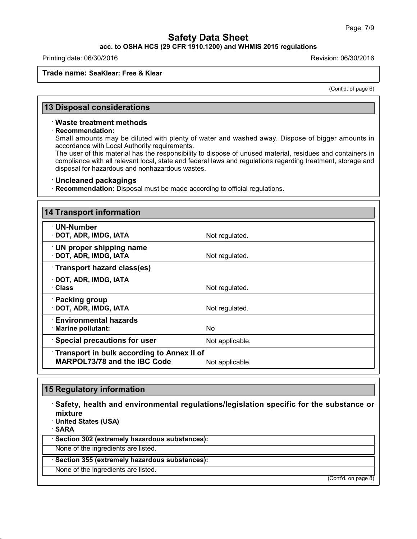### **acc. to OSHA HCS (29 CFR 1910.1200) and WHMIS 2015 regulations**

Printing date: 06/30/2016 Revision: 06/30/2016

### **Trade name: SeaKlear: Free & Klear**

(Cont'd. of page 6)

## **13 Disposal considerations**

#### · **Waste treatment methods**

#### · **Recommendation:**

Small amounts may be diluted with plenty of water and washed away. Dispose of bigger amounts in accordance with Local Authority requirements.

The user of this material has the responsibility to dispose of unused material, residues and containers in compliance with all relevant local, state and federal laws and regulations regarding treatment, storage and disposal for hazardous and nonhazardous wastes.

### · **Uncleaned packagings**

· **Recommendation:** Disposal must be made according to official regulations.

| <b>14 Transport information</b>                                                   |                 |
|-----------------------------------------------------------------------------------|-----------------|
| $\cdot$ UN-Number<br>· DOT, ADR, IMDG, IATA                                       | Not regulated.  |
| <b>UN proper shipping name</b><br>· DOT, ADR, IMDG, IATA                          | Not regulated.  |
| Transport hazard class(es)                                                        |                 |
| $\cdot$ DOT, ADR, IMDG, IATA<br>· Class                                           | Not regulated.  |
| · Packing group<br>· DOT, ADR, IMDG, IATA                                         | Not regulated.  |
| $\cdot$ Environmental hazards<br>· Marine pollutant:                              | No.             |
| · Special precautions for user                                                    | Not applicable. |
| Transport in bulk according to Annex II of<br><b>MARPOL73/78 and the IBC Code</b> | Not applicable. |

# **15 Regulatory information**

43.0

· **Safety, health and environmental regulations/legislation specific for the substance or mixture** · **United States (USA)** · **SARA** · **Section 302 (extremely hazardous substances):** None of the ingredients are listed. · **Section 355 (extremely hazardous substances):** None of the ingredients are listed.

(Cont'd. on page 8)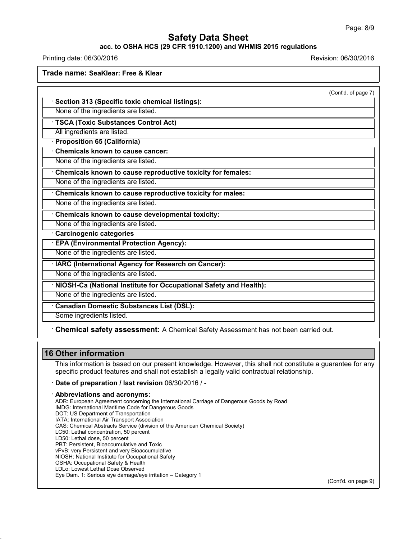$(2)$ 

# **Safety Data Sheet**

## **acc. to OSHA HCS (29 CFR 1910.1200) and WHMIS 2015 regulations**

Printing date: 06/30/2016 Revision: 06/30/2016

**Trade name: SeaKlear: Free & Klear**

|                                                                                    | (Cont'd. of page 7 |
|------------------------------------------------------------------------------------|--------------------|
| · Section 313 (Specific toxic chemical listings):                                  |                    |
| None of the ingredients are listed.                                                |                    |
| TSCA (Toxic Substances Control Act)                                                |                    |
| All ingredients are listed.                                                        |                    |
| <b>Proposition 65 (California)</b>                                                 |                    |
| Chemicals known to cause cancer:                                                   |                    |
| None of the ingredients are listed.                                                |                    |
| Chemicals known to cause reproductive toxicity for females:                        |                    |
| None of the ingredients are listed.                                                |                    |
| Chemicals known to cause reproductive toxicity for males:                          |                    |
| None of the ingredients are listed.                                                |                    |
| Chemicals known to cause developmental toxicity:                                   |                    |
| None of the ingredients are listed.                                                |                    |
| Carcinogenic categories                                                            |                    |
| <b>EPA (Environmental Protection Agency):</b>                                      |                    |
| None of the ingredients are listed.                                                |                    |
| · IARC (International Agency for Research on Cancer):                              |                    |
| None of the ingredients are listed.                                                |                    |
| · NIOSH-Ca (National Institute for Occupational Safety and Health):                |                    |
| None of the ingredients are listed.                                                |                    |
| Canadian Domestic Substances List (DSL):                                           |                    |
| Some ingredients listed.                                                           |                    |
| Chemical safety assessment: A Chemical Safety Assessment has not been carried out. |                    |
|                                                                                    |                    |

This information is based on our present knowledge. However, this shall not constitute a guarantee for any specific product features and shall not establish a legally valid contractual relationship.

· **Date of preparation / last revision** 06/30/2016 / -

#### · **Abbreviations and acronyms:**

ADR: European Agreement concerning the International Carriage of Dangerous Goods by Road IMDG: International Maritime Code for Dangerous Goods DOT: US Department of Transportation IATA: International Air Transport Association CAS: Chemical Abstracts Service (division of the American Chemical Society) LC50: Lethal concentration, 50 percent LD50: Lethal dose, 50 percent PBT: Persistent, Bioaccumulative and Toxic vPvB: very Persistent and very Bioaccumulative NIOSH: National Institute for Occupational Safety

OSHA: Occupational Safety & Health

43.0

LDLo: Lowest Lethal Dose Observed Eye Dam. 1: Serious eye damage/eye irritation – Category 1

(Cont'd. on page 9)